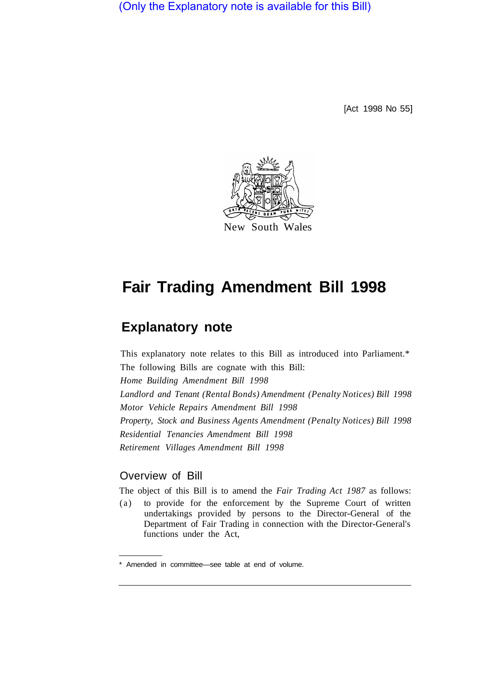(Only the Explanatory note is available for this Bill)

[Act 1998 No 55]



# **Fair Trading Amendment Bill 1998**

## **Explanatory note**

This explanatory note relates to this Bill as introduced into Parliament.\* The following Bills are cognate with this Bill: *Home Building Amendment Bill 1998 Landlord and Tenant (Rental Bonds) Amendment (Penalty Notices) Bill 1998 Motor Vehicle Repairs Amendment Bill 1998 Property, Stock and Business Agents Amendment (Penalty Notices) Bill 1998 Residential Tenancies Amendment Bill 1998 Retirement Villages Amendment Bill 1998* 

### Overview of Bill

The object of this Bill is to amend the *Fair Trading Act 1987* as follows:

(a) to provide for the enforcement by the Supreme Court of written undertakings provided by persons to the Director-General of the Department of Fair Trading in connection with the Director-General's functions under the Act,

<sup>\*</sup> Amended in committee—see table at end of volume.